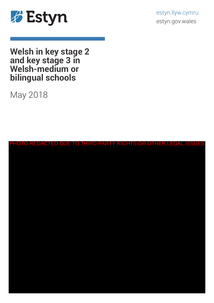

estyn.llyw.cymru estyn.gov.wales

**Welsh in key stage 2 and key stage 3 in Welsh-medium or bilingual schools**

May 2018

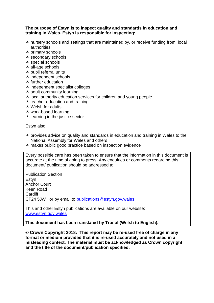#### **The purpose of Estyn is to inspect quality and standards in education and training in Wales. Estyn is responsible for inspecting:**

- $\lambda$  nursery schools and settings that are maintained by, or receive funding from, local authorities
- $\overline{\phantom{a}}$  primary schools
- secondary schools
- $\overline{\phantom{a}}$  special schools
- $\overline{\phantom{a}}$  all-age schools
- $\overline{\phantom{a}}$  pupil referral units
- $\overline{\phantom{a}}$  independent schools
- $\triangle$  further education
- $\overline{\phantom{a}}$  independent specialist colleges
- $\overline{\phantom{a}}$  adult community learning
- $\lambda$  local authority education services for children and young people
- $\overline{\phantom{a}}$  teacher education and training
- $\triangle$  Welsh for adults
- work-based learning
- $\blacktriangle$  learning in the justice sector

Estyn also:

- $\overline{\phantom{a}}$  provides advice on quality and standards in education and training in Wales to the National Assembly for Wales and others
- $\lambda$  makes public good practice based on inspection evidence

Every possible care has been taken to ensure that the information in this document is accurate at the time of going to press. Any enquiries or comments regarding this document/ publication should be addressed to:

Publication Section Estyn Anchor Court Keen Road Cardiff CF24 5JW or by email to [publications@estyn.gov.wales](mailto:publications@estyn.gov.wales)

This and other Estyn publications are available on our website: [www.estyn.gov.wales](http://www.estyn.gov.wales/)

## **This document has been translated by Trosol (Welsh to English).**

**© Crown Copyright 2018: This report may be re-used free of charge in any format or medium provided that it is re-used accurately and not used in a misleading context. The material must be acknowledged as Crown copyright and the title of the document/publication specified.**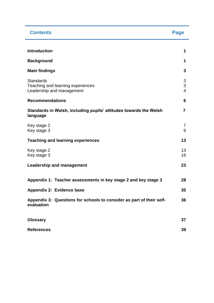| <b>Contents</b>                                                                    | Page                     |
|------------------------------------------------------------------------------------|--------------------------|
| <b>Introduction</b>                                                                | 1                        |
| <b>Background</b>                                                                  | 1                        |
| <b>Main findings</b>                                                               | 3                        |
| <b>Standards</b><br>Teaching and learning experiences<br>Leadership and management | 3<br>3<br>$\overline{4}$ |
| <b>Recommendations</b>                                                             | 6                        |
| Standards in Welsh, including pupils' attitudes towards the Welsh<br>language      | $\overline{7}$           |
| Key stage 2<br>Key stage 3                                                         | 7<br>9                   |
| <b>Teaching and learning experiences</b>                                           | 13                       |
| Key stage 2<br>Key stage 3                                                         | 13<br>16                 |
| <b>Leadership and management</b>                                                   | 23                       |
| Appendix 1: Teacher assessments in key stage 2 and key stage 3                     | 28                       |
| Appendix 2: Evidence base                                                          | 35                       |
| Appendix 3: Questions for schools to consider as part of their self-<br>evaluation | 36                       |
| Glossary                                                                           | 37                       |
| <b>References</b>                                                                  | 39                       |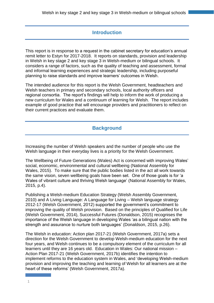# **Introduction**

This report is in response to a request in the cabinet secretary for education's annual remit letter to Estyn for 2017-2018. It reports on standards, provision and leadership in Welsh in key stage 2 and key stage 3 in Welsh-medium or bilingual schools. It considers a range of factors, such as the quality of teaching and assessment, formal and informal learning experiences and strategic leadership, including purposeful planning to raise standards and improve learners' outcomes in Welsh.

The intended audience for this report is the Welsh Government, headteachers and Welsh teachers in primary and secondary schools, local authority officers and regional consortia. The report's findings will help to inform the work of producing a new curriculum for Wales and a continuum of learning for Welsh. The report includes example of good practice that will encourage providers and practitioners to reflect on their current practices and evaluate them.

# **Background**

Increasing the number of Welsh speakers and the number of people who use the Welsh language in their everyday lives is a priority for the Welsh Government.

The Wellbeing of Future Generations (Wales) Act is concerned with improving Wales' social, economic, environmental and cultural wellbeing (National Assembly for Wales, 2015). To make sure that the public bodies listed in the act all work towards the same vision, seven wellbeing goals have been set. One of those goals is for 'a Wales of vibrant culture and thriving Welsh language' (National Assembly for Wales, 2015, p.4).

Publishing a Welsh-medium Education Strategy (Welsh Assembly Government, 2010) and A Living Language: A Language for Living – Welsh language strategy 2012-17 (Welsh Government, 2012) supported the government's commitment to improving the quality of Welsh provision. Based on the principles of Qualified for Life (Welsh Government, 2014), Successful Futures (Donaldson, 2015) recognises the importance of the Welsh language in developing Wales 'as a bilingual nation with the strength and assurance to nurture both languages' (Donaldson, 2015, p.26).

The Welsh in education: Action plan 2017-21 (Welsh Government, 2017a) sets a direction for the Welsh Government to develop Welsh-medium education for the next four years, and Welsh continues to be a compulsory element of the curriculum for all learners until they are 16 years old. Education in Wales: Our national mission – Action Plan 2017-21 (Welsh Government, 2017b) identifies the intention to implement reforms to the education system in Wales, and 'developing Welsh-medium provision and improving the teaching and learning of Welsh for all learners are at the heart of these reforms' (Welsh Government, 2017a).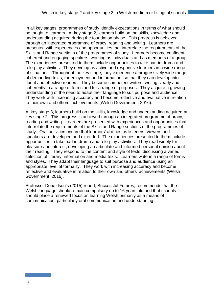In all key stages, programmes of study identify expectations in terms of what should be taught to learners. At key stage 2, learners build on the skills, knowledge and understanding acquired during the foundation phase. This progress is achieved through an integrated programme of oracy, reading and writing. Learners are presented with experiences and opportunities that interrelate the requirements of the Skills and Range sections of the programmes of study. Learners become confident, coherent and engaging speakers, working as individuals and as members of a group. The experiences presented to them include opportunities to take part in drama and role-play activities. They develop as active and responsive learners in a wide range of situations. Throughout the key stage, they experience a progressively wide range of demanding texts, for enjoyment and information, so that they can develop into fluent and effective readers. They become competent writers, writing clearly and coherently in a range of forms and for a range of purposes. They acquire a growing understanding of the need to adapt their language to suit purpose and audience. They work with increasing accuracy and become reflective and evaluative in relation to their own and others' achievements (Welsh Government, 2016).

At key stage 3, learners build on the skills, knowledge and understanding acquired at key stage 2. This progress is achieved through an integrated programme of oracy, reading and writing. Learners are presented with experiences and opportunities that interrelate the requirements of the Skills and Range sections of the programmes of study. Oral activities ensure that learners' abilities as listeners, viewers and speakers are developed and extended. The experiences presented to them include opportunities to take part in drama and role-play activities. They read widely for pleasure and interest, developing an articulate and informed personal opinion about their reading. They respond to the content and style of texts, discussing a varied selection of literary, information and media texts. Learners write in a range of forms and styles. They adapt their language to suit purpose and audience using an appropriate level of formality. They work with increasing accuracy and become reflective and evaluative in relation to their own and others' achievements (Welsh Government, 2016).

Professor Donaldson's (2015) report, Successful Futures, recommends that the Welsh language should remain compulsory up to 16 years old and that schools should place a renewed focus on learning Welsh primarily as a means of communication, particularly oral communication and understanding.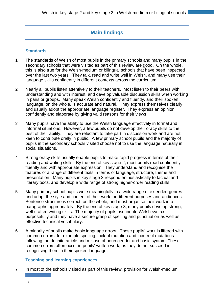# **Main findings**

## **Standards**

- 1 The standards of Welsh of most pupils in the primary schools and many pupils in the secondary schools that were visited as part of this review are good. On the whole, this is also true for the Welsh-medium or bilingual schools that have been inspected over the last two years. They talk, read and write well in Welsh, and many use their language skills confidently in different contexts across the curriculum.
- 2 Nearly all pupils listen attentively to their teachers. Most listen to their peers with understanding and with interest, and develop valuable discussion skills when working in pairs or groups. Many speak Welsh confidently and fluently, and their spoken language, on the whole, is accurate and natural. They express themselves clearly and usually adopt the appropriate language register. They express an opinion confidently and elaborate by giving valid reasons for their views.
- 3 Many pupils have the ability to use the Welsh language effectively in formal and informal situations. However, a few pupils do not develop their oracy skills to the best of their ability. They are reluctant to take part in discussion work and are not keen to contribute orally in public. A few primary school pupils and the majority of pupils in the secondary schools visited choose not to use the language naturally in social situations.
- 4 Strong oracy skills usually enable pupils to make rapid progress in terms of their reading and writing skills. By the end of key stage 2, most pupils read confidently, fluently and with appropriate expression. They understand and recognise the features of a range of different texts in terms of language, structure, theme and presentation. Many pupils in key stage 3 respond enthusiastically to factual and literary texts, and develop a wide range of strong higher-order reading skills.
- 5 Many primary school pupils write meaningfully in a wide range of extended genres and adapt the style and content of their work for different purposes and audiences. Sentence structure is correct, on the whole, and most organise their work into paragraphs appropriately. By the end of key stage 3, many pupils develop strong, well-crafted writing skills. The majority of pupils use innate Welsh syntax purposefully and they have a secure grasp of spelling and punctuation as well as effective technical vocabulary.
- 6 A minority of pupils make basic language errors. These pupils' work is littered with common errors, for example spelling, lack of mutation and incorrect mutations following the definite article and misuse of noun gender and basic syntax. These common errors often occur in pupils' written work, as they do not succeed in recognising them in their spoken language.

## **Teaching and learning experiences**

7 In most of the schools visited as part of this review, provision for Welsh-medium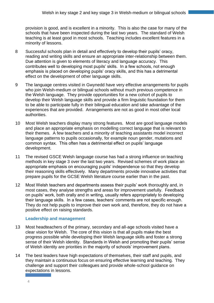provision is good, and is excellent in a minority. This is also the case for many of the schools that have been inspected during the last two years. The standard of Welsh teaching is at least good in most schools. Teaching includes excellent features in a minority of lessons.

- 8 Successful schools plan in detail and effectively to develop their pupils' oracy, reading and writing skills and ensure an appropriate inter-relationship between them. Due attention is given to elements of literacy and language accuracy. This contributes well to developing most pupils' skills. In a few schools, not enough emphasis is placed on developing pupils' oracy skills, and this has a detrimental effect on the development of other language skills.
- 9 The language centres visited in Gwynedd have very effective arrangements for pupils who join Welsh-medium or bilingual schools without much previous competence in the Welsh language. They provide opportunities for a new cohort of pupils to develop their Welsh language skills and provide a firm linguistic foundation for them to be able to participate fully in their bilingual education and take advantage of the experiences that are provided. Arrangements are not as good in most other local authorities.
- 10 Most Welsh teachers display many strong features. Most are good language models and place an appropriate emphasis on modelling correct language that is relevant to their themes. A few teachers and a minority of teaching assistants model incorrect language patterns to pupils occasionally, for example noun gender, mutations and common syntax. This often has a detrimental effect on pupils' language development.
- 11 The revised GSCE Welsh language course has had a strong influence on teaching methods in key stage 3 over the last two years. Revised schemes of work place an appropriate emphasis on encouraging pupils' independence so that they develop their reasoning skills effectively. Many departments provide innovative activities that prepare pupils for the GCSE Welsh literature course earlier than in the past.
- 12 Most Welsh teachers and departments assess their pupils' work thoroughly and, in most cases, they analyse strengths and areas for improvement usefully. Feedback on pupils' work, both orally and in writing, usually refers appropriately to developing their language skills. In a few cases, teachers' comments are not specific enough. They do not help pupils to improve their own work and, therefore, they do not have a positive effect on raising standards.

## **Leadership and management**

- 13 Most headteachers of the primary, secondary and all-age schools visited have a clear vision for Welsh. The core of this vision is that all pupils make the best progress possible while developing their Welsh language skills and foster a strong sense of their Welsh identity. Standards in Welsh and promoting their pupils' sense of Welsh identity are priorities in the majority of schools' improvement plans.
- 14 The best leaders have high expectations of themselves, their staff and pupils, and they maintain a continuous focus on ensuring effective learning and teaching. They challenge and support their colleagues and provide whole-school guidance on expectations in lessons.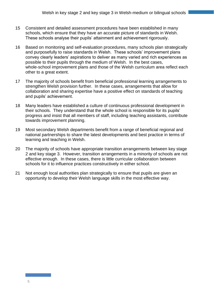- 15 Consistent and detailed assessment procedures have been established in many schools, which ensure that they have an accurate picture of standards in Welsh. These schools analyse their pupils' attainment and achievement rigorously.
- 16 Based on monitoring and self-evaluation procedures, many schools plan strategically and purposefully to raise standards in Welsh. These schools' improvement plans convey clearly leaders' aspirations to deliver as many varied and rich experiences as possible to their pupils through the medium of Welsh. In the best cases, whole-school improvement plans and those of the Welsh curriculum area reflect each other to a great extent.
- 17 The majority of schools benefit from beneficial professional learning arrangements to strengthen Welsh provision further. In these cases, arrangements that allow for collaboration and sharing expertise have a positive effect on standards of teaching and pupils' achievement.
- 18 Many leaders have established a culture of continuous professional development in their schools. They understand that the whole school is responsible for its pupils' progress and insist that all members of staff, including teaching assistants, contribute towards improvement planning.
- 19 Most secondary Welsh departments benefit from a range of beneficial regional and national partnerships to share the latest developments and best practice in terms of learning and teaching in Welsh.
- 20 The majority of schools have appropriate transition arrangements between key stage 2 and key stage 3. However, transition arrangements in a minority of schools are not effective enough. In these cases, there is little curricular collaboration between schools for it to influence practices constructively in either school.
- 21 Not enough local authorities plan strategically to ensure that pupils are given an opportunity to develop their Welsh language skills in the most effective way.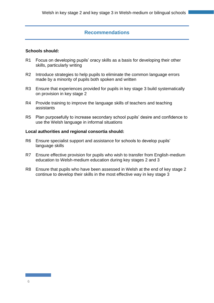## **Recommendations**

#### **Schools should:**

- R1 Focus on developing pupils' oracy skills as a basis for developing their other skills, particularly writing
- R2 Introduce strategies to help pupils to eliminate the common language errors made by a minority of pupils both spoken and written
- R3 Ensure that experiences provided for pupils in key stage 3 build systematically on provision in key stage 2
- R4 Provide training to improve the language skills of teachers and teaching assistants
- R5 Plan purposefully to increase secondary school pupils' desire and confidence to use the Welsh language in informal situations

#### **Local authorities and regional consortia should:**

- R6 Ensure specialist support and assistance for schools to develop pupils' language skills
- R7 Ensure effective provision for pupils who wish to transfer from English-medium education to Welsh-medium education during key stages 2 and 3
- R8 Ensure that pupils who have been assessed in Welsh at the end of key stage 2 continue to develop their skills in the most effective way in key stage 3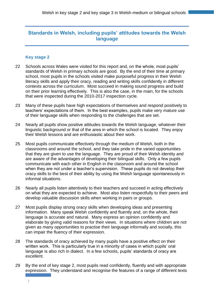# **Standards in Welsh, including pupils' attitudes towards the Welsh language**

#### **Key stage 2**

- 22 Schools across Wales were visited for this report and, on the whole, most pupils' standards of Welsh in primary schools are good. By the end of their time at primary school, most pupils in the schools visited make purposeful progress in their Welsh literacy skills and apply their oracy, reading and writing skills confidently in different contexts across the curriculum. Most succeed in making sound progress and build on their prior learning effectively. This is also the case, in the main, for the schools that were inspected during the 2010-2017 inspection cycle.
- 23 Many of these pupils have high expectations of themselves and respond positively to teachers' expectations of them. In the best examples, pupils make very mature use of their language skills when responding to the challenges that are set.
- 24 Nearly all pupils show positive attitudes towards the Welsh language, whatever their linguistic background or that of the area in which the school is located. They enjoy their Welsh lessons and are enthusiastic about their work.
- 25 Most pupils communicate effectively through the medium of Welsh, both in the classrooms and around the school, and they take pride in the varied opportunities that they are given to use the language. They are proud of their Welsh identity and are aware of the advantages of developing their bilingual skills. Only a few pupils communicate with each other in English in the classroom and around the school when they are not under a teacher's supervision. These pupils do not develop their oracy skills to the best of their ability by using the Welsh language spontaneously in informal situations.
- 26 Nearly all pupils listen attentively to their teachers and succeed in acting effectively on what they are expected to achieve. Most also listen respectfully to their peers and develop valuable discussion skills when working in pairs or groups.
- 27 Most pupils display strong oracy skills when developing ideas and presenting information. Many speak Welsh confidently and fluently and, on the whole, their language is accurate and natural. Many express an opinion confidently and elaborate by giving valid reasons for their views. In situations where children are not given as many opportunities to practise their language informally and socially, this can impair the fluency of their expression.
- 28 The standards of oracy achieved by many pupils have a positive effect on their written work. This is particularly true in a minority of cases in which pupils' oral language is also rich in dialect. In a few schools, pupils' standards of oracy are excellent.
- 29 By the end of key stage 2, most pupils read confidently, fluently and with appropriate expression. They understand and recognise the features of a range of different texts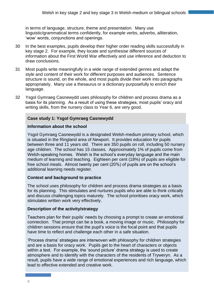in terms of language, structure, theme and presentation. Many use linguistic/grammatical terms confidently, for example verbs, adverbs, alliteration, 'wow' words, conjunctions and openings.

- 30 In the best examples, pupils develop their higher order reading skills successfully in key stage 2. For example, they locate and synthesise different sources of information about the First World War effectively and use inference and deduction to draw conclusions.
- 31 Most pupils write meaningfully in a wide range of extended genres and adapt the style and content of their work for different purposes and audiences. Sentence structure is sound, on the whole, and most pupils divide their work into paragraphs appropriately. Many use a thesaurus or a dictionary purposefully to enrich their language.
- 32 Ysgol Gymraeg Casnewydd uses philosophy for children and process drama as a basis for its planning. As a result of using these strategies, most pupils' oracy and writing skills, from the nursery class to Year 6, are very good.

#### **Case study 1: Ysgol Gymraeg Casnewydd**

#### **Information about the school**

Ysgol Gymraeg Casnewydd is a designated Welsh-medium primary school, which is situated in the Ringland area of Newport. It provides education for pupils between three and 11 years old. There are 350 pupils on roll, including 50 nursery age children. The school has 15 classes. Approximately 1% of pupils come from Welsh-speaking homes. Welsh is the school's everyday language and the main medium of learning and teaching. Eighteen per cent (18%) of pupils are eligible for free school meals. Almost twenty per cent (20%) of pupils are on the school's additional learning needs register.

#### **Context and background to practice**

The school uses philosophy for children and process drama strategies as a basis for its planning. This stimulates and nurtures pupils who are able to think critically and discuss challenging topics maturely. The school prioritises oracy work, which stimulates written work very effectively.

#### **Description of the activity/strategy**

Teachers plan for their pupils' needs by choosing a prompt to create an emotional connection. That prompt can be a book, a moving image or music. Philosophy for children sessions ensure that the pupil's voice is the focal point and that pupils have time to reflect and challenge each other in a safe situation.

'Process drama' strategies are interwoven with philosophy for children strategies and are a basis for oracy work. Pupils get to the heart of characters or objects within a text. For example, the 'sound picture' drama strategy is used to create atmosphere and to identify with the characters of the residents of Tryweryn. As a result, pupils have a wide range of emotional experiences and rich language, which lead to effective extended and creative work.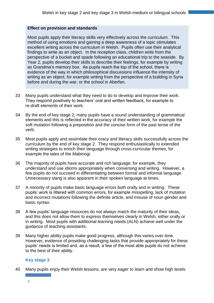#### **Effect on provision and standards**

Most pupils apply their literacy skills very effectively across the curriculum. This method of using emotions and gaining a deep awareness of a topic stimulates excellent writing across the curriculum in Welsh. Pupils often use their analytical findings to write as an object. In the reception class, children write from the perspective of a bucket and spade following an educational trip to the seaside. By Year 2, pupils develop their skills to describe their feelings, for example by writing as Grandma's memory box. As pupils reach the top of the school, there is evidence of the way in which philosophical discussions influence the intensity of writing as an object, for example writing from the perspective of a building in Syria before and during the war, or the school in Aberfan.

- 33 Many pupils understand what they need to do to develop and improve their work. They respond positively to teachers' oral and written feedback, for example to re-draft elements of their work.
- 34 By the end of key stage 2, many pupils have a sound understanding of grammatical elements and this is reflected in the accuracy of their written work, for example the soft mutation following a preposition and the concise form of the past tense of the verb.
- 35 Most pupils apply and assimilate their oracy and literacy skills successfully across the curriculum by the end of key stage 2. They respond enthusiastically to extended writing strategies to enrich their language through cross-curricular themes, for example the tales of the Mabinogi.
- 36 The majority of pupils have accurate and rich language; for example, they understand and use idioms appropriately when conversing and writing. However, a few pupils do not succeed in differentiating between formal and informal language. Unnecessary slang is also apparent in their spoken language at times.
- 37 A minority of pupils make basic language errors both orally and in writing. These pupils' work is littered with common errors, for example misspelling, lack of mutation and incorrect mutations following the definite article, and misuse of noun gender and basic syntax.
- 38 A few pupils' language resources do not always match the maturity of their ideas, and this does not allow them to express themselves clearly in Welsh, either orally or in writing. Most pupils with additional learning needs (ALN) achieve well under the guidance of teaching assistants.
- 39 Many higher ability pupils make good progress, although this varies over time. However, evidence of providing challenging tasks that provide appropriately for these pupils' needs is limited and, as a result, a few of the most able pupils do not achieve to the best of their ability.

## **Key stage 3**

40 Many pupils enjoy their Welsh lessons, are very eager to learn and show high levels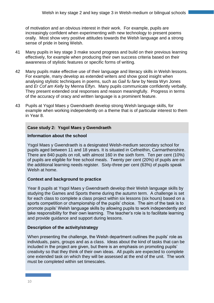of motivation and an obvious interest in their work. For example, pupils are increasingly confident when experimenting with new technology to present poems orally. Most show very positive attitudes towards the Welsh language and a strong sense of pride in being Welsh.

- 41 Many pupils in key stage 3 make sound progress and build on their previous learning effectively, for example when producing their own success criteria based on their awareness of stylistic features or specific forms of writing.
- 42 Many pupils make effective use of their language and literacy skills in Welsh lessons. For example, many develop as extended writers and show good insight when analysing stylistic techniques in poems, such as *Gail fu farw* by Nesta Wyn Jones and *Er Cof am Kelly* by Menna Elfyn. Many pupils communicate confidently verbally. They present extended oral responses and reason meaningfully. Progress in terms of the accuracy of oracy and written language is a prominent feature.
- 43 Pupils at Ysgol Maes y Gwendraeth develop strong Welsh language skills, for example when working independently on a theme that is of particular interest to them in Year 8.

## **Case study 2: Ysgol Maes y Gwendraeth**

#### **Information about the school**

Ysgol Maes y Gwendraeth is a designated Welsh-medium secondary school for pupils aged between 11 and 18 years. It is situated in Cefneithin, Carmarthenshire. There are 840 pupils on roll, with almost 160 in the sixth form. Ten per cent (10%) of pupils are eligible for free school meals. Twenty per cent (20%) of pupils are on the additional learning needs register. Sixty-three per cent (63%) of pupils speak Welsh at home.

## **Context and background to practice**

Year 8 pupils at Ysgol Maes y Gwendraeth develop their Welsh language skills by studying the Games and Sports theme during the autumn term. A challenge is set for each class to complete a class project within six lessons (six hours) based on a sports competition or championship of the pupils' choice. The aim of the task is to promote pupils' Welsh language skills by allowing pupils to work independently and take responsibility for their own learning. The teacher's role is to facilitate learning and provide guidance and support during lessons.

#### **Description of the activity/strategy**

When presenting the challenge, the Welsh department outlines the pupils' role as individuals, pairs, groups and as a class. Ideas about the kind of tasks that can be included in the project are given, but there is an emphasis on promoting pupils' creativity so that they think of their own ideas. All pupils are expected to complete one extended task on which they will be assessed at the end of the unit. The work must be completed within set timescales.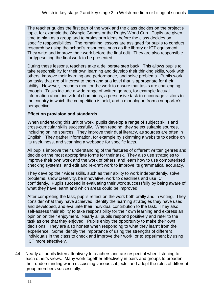The teacher guides the first part of the work and the class decides on the project's topic, for example the Olympic Games or the Rugby World Cup. Pupils are given time to plan as a group and to brainstorm ideas before the class decides on specific responsibilities. The remaining lessons are assigned for pupils to conduct research by using the school's resources, such as the library or ICT equipment. They write and improve their work before the final edit. They are also responsible for typesetting the final work to be presented.

During these lessons, teachers take a deliberate step back. This allows pupils to take responsibility for their own learning and develop their thinking skills, work with others, improve their learning and performance, and solve problems. Pupils work on tasks that are of interest to them and at a level that is appropriate for their ability. However, teachers monitor the work to ensure that tasks are challenging enough. Tasks include a wide range of written genres, for example factual information about individual champions, a persuasive task to encourage visitors to the country in which the competition is held, and a monologue from a supporter's perspective.

#### **Effect on provision and standards**

When undertaking this unit of work, pupils develop a range of subject skills and cross-curricular skills successfully. When reading, they select suitable sources, including online sources. They improve their dual literacy, as sources are often in English. They gather information, for example by skimming a website to decide on its usefulness, and scanning a webpage for specific facts.

All pupils improve their understanding of the features of different written genres and decide on the most appropriate forms for their task. They also use strategies to improve their own work and the work of others, and learn how to use computerised checking systems, and edit and re-draft work to improve its grammatical accuracy.

They develop their wider skills, such as their ability to work independently, solve problems, show creativity, be innovative, work to deadlines and use ICT confidently. Pupils succeed in evaluating their work successfully by being aware of what they have learnt and which areas could be improved.

After completing the task, pupils reflect on the work both orally and in writing. They consider what they have achieved, identify the learning strategies they have used and developed, and evaluate their individual contribution to the task. They also self-assess their ability to take responsibility for their own learning and express an opinion on their enjoyment. Nearly all pupils respond positively and refer to the task as one that they enjoyed. Pupils enjoy the opportunity to make their own decisions. They are also honest when responding to what they learnt from the experience. Some identify the importance of using the strengths of different individuals in the class to check and improve their work, or to experiment by using ICT more effectively.

44 Nearly all pupils listen attentively to teachers and are respectful when listening to each other's views. Many work together effectively in pairs and groups to broaden their understanding when discussing various subjects, and adopt the roles of different group members successfully.

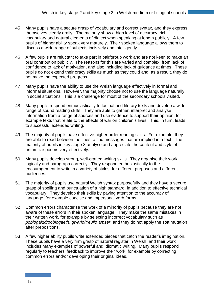- 45 Many pupils have a secure grasp of vocabulary and correct syntax, and they express themselves clearly orally. The majority show a high level of accuracy, rich vocabulary and natural elements of dialect when speaking at length publicly. A few pupils of higher ability speak very maturely. Their spoken language allows them to discuss a wide range of subjects incisively and intelligently.
- 46 A few pupils are reluctant to take part in pair/group work and are not keen to make an oral contribution publicly. The reasons for this are varied and complex, from lack of confidence to lack of motivation, and also including lack of guidance at times. These pupils do not extend their oracy skills as much as they could and, as a result, they do not make the expected progress.
- 47 Many pupils have the ability to use the Welsh language effectively in formal and informal situations. However, the majority choose not to use the language naturally in social situations. This is a challenge for most of the secondary schools visited.
- 48 Many pupils respond enthusiastically to factual and literary texts and develop a wide range of sound reading skills. They are able to gather, interpret and analyse information from a range of sources and use evidence to support their opinion, for example texts that relate to the effects of war on children's lives. This, in turn, leads to successful extended writing.
- 49 The majority of pupils have effective higher order reading skills. For example, they are able to read between the lines to find messages that are implied in a text. The majority of pupils in key stage 3 analyse and appreciate the content and style of unfamiliar poems very effectively.
- 50 Many pupils develop strong, well-crafted writing skills. They organise their work logically and paragraph correctly. They respond enthusiastically to the encouragement to write in a variety of styles, for different purposes and different audiences.
- 51 The majority of pupils use natural Welsh syntax purposefully and they have a secure grasp of spelling and punctuation of a high standard, in addition to effective technical vocabulary. They develop their skills by paying attention to the accuracy of language, for example concise and impersonal verb forms.
- 52 Common errors characterise the work of a minority of pupils because they are not aware of these errors in their spoken language. They make the same mistakes in their written work, for example by selecting incorrect vocabulary such as *poblogaidd/poblogaeth*, *gwario/treulio amser*, and they do not apply the soft mutation after prepositions.
- 53 A few higher ability pupils write extended pieces that catch the reader's imagination. These pupils have a very firm grasp of natural register in Welsh, and their work includes many examples of powerful and idiomatic writing. Many pupils respond regularly to teachers' feedback to improve their work, for example by correcting common errors and/or developing their original ideas.

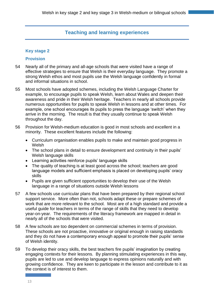## **Teaching and learning experiences**

### **Key stage 2**

#### **Provision**

- 54 Nearly all of the primary and all-age schools that were visited have a range of effective strategies to ensure that Welsh is their everyday language. They promote a strong Welsh ethos and most pupils use the Welsh language confidently in formal and informal situations in school.
- 55 Most schools have adopted schemes, including the Welsh Language Charter for example, to encourage pupils to speak Welsh, learn about Wales and deepen their awareness and pride in their Welsh heritage. Teachers in nearly all schools provide numerous opportunities for pupils to speak Welsh in lessons and at other times. For example, one school encourages its pupils to press the language 'switch' when they arrive in the morning. The result is that they usually continue to speak Welsh throughout the day.
- 56 Provision for Welsh-medium education is good in most schools and excellent in a minority. These excellent features include the following:
	- Curriculum organisation enables pupils to make and maintain good progress in Welsh
	- The school plans in detail to ensure development and continuity in their pupils' Welsh language skills
	- Learning activities reinforce pupils' language skills
	- The quality of teaching is at least good across the school; teachers are good language models and sufficient emphasis is placed on developing pupils' oracy skills
	- Pupils are given sufficient opportunities to develop their use of the Welsh language in a range of situations outside Welsh lessons
- 57 A few schools use curricular plans that have been prepared by their regional school support service. More often than not, schools adapt these or prepare schemes of work that are more relevant to the school. Most are of a high standard and provide a useful guide for teachers in terms of the range of skills that they need to develop year-on-year. The requirements of the literacy framework are mapped in detail in nearly all of the schools that were visited.
- 58 A few schools are too dependent on commercial schemes in terms of provision. These schools are not proactive, innovative or original enough in raising standards and they do not have a contemporary enough appeal to promote their pupils' sense of Welsh identity.
- 59 To develop their oracy skills, the best teachers fire pupils' imagination by creating engaging contexts for their lessons. By planning stimulating experiences in this way, pupils are led to use and develop language to express opinions naturally and with growing confidence. They are keen to participate in the lesson and contribute to it as the context is of interest to them.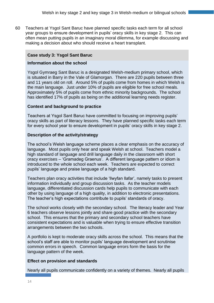60 Teachers at Ysgol Sant Baruc have planned specific tasks each term for all school year groups to ensure development in pupils' oracy skills in key stage 2. This can often mean putting pupils in an imaginary moral dilemma, for example discussing and making a decision about who should receive a heart transplant.

## **Case study 3: Ysgol Sant Baruc**

### **Information about the school**

Ysgol Gymraeg Sant Baruc is a designated Welsh-medium primary school, which is situated in Barry in the Vale of Glamorgan. There are 220 pupils between three and 11 years old on roll. Around 5% of pupils come from homes in which Welsh is the main language. Just under 10% of pupils are eligible for free school meals. Approximately 5% of pupils come from ethnic minority backgrounds. The school has identified 17% of pupils as being on the additional learning needs register.

## **Context and background to practice**

Teachers at Ysgol Sant Baruc have committed to focusing on improving pupils' oracy skills as part of literacy lessons. They have planned specific tasks each term for every school year to ensure development in pupils' oracy skills in key stage 2.

#### **Description of the activity/strategy**

The school's Welsh language scheme places a clear emphasis on the accuracy of language. Most pupils only hear and speak Welsh at school. Teachers model a high standard of language and drill language daily in the classroom with short oracy exercises – 'Gramadeg Graenus'. A different language pattern or idiom is introduced to the whole school each week. Teachers are expected to correct pupils' language and praise language of a high standard.

Teachers plan oracy activities that include 'llwyfan llafar', namely tasks to present information individually and group discussion tasks. As the teacher models language, differentiated discussion cards help pupils to communicate with each other by using language of a high quality, in addition to electronic presentations. The teacher's high expectations contribute to pupils' standards of oracy.

The school works closely with the secondary school. The literacy leader and Year 6 teachers observe lessons jointly and share good practice with the secondary school. This ensures that the primary and secondary school teachers have consistent expectations and is valuable when trying to ensure effective transition arrangements between the two schools.

A portfolio is kept to moderate oracy skills across the school. This means that the school's staff are able to monitor pupils' language development and scrutinise common errors in speech. Common language errors form the basis for the language pattern of the week.

## **Effect on provision and standards**

Nearly all pupils communicate confidently on a variety of themes. Nearly all pupils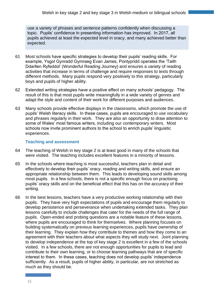use a variety of phrases and sentence patterns confidently when discussing a topic. Pupils' confidence in presenting information has improved. In 2017, all pupils achieved at least the expected level in oracy, and many achieved better than expected.

- 61 Most schools have specific strategies to develop their pupils' reading skills. For example, Ysgol Gynradd Gymraeg Evan James, Pontypridd operates the 'Taith Ddarllen Ryfeddol' (Wonderful Reading Journey) and ensures a variety of reading activities that increase in terms of challenge and require responses to texts through different methods. Many pupils respond very positively to this strategy, particularly boys and pupils of higher ability.
- 62 Extended writing strategies have a positive effect on many schools' pedagogy. The result of this is that most pupils write meaningfully in a wide variety of genres and adapt the style and content of their work for different purposes and audiences.
- 63 Many schools provide effective displays in the classrooms, which promote the use of pupils' Welsh literacy skills. In these cases, pupils are encouraged to use vocabulary and phrases regularly in their work. They are also an opportunity to draw attention to some of Wales' most famous writers, including our contemporary writers. Most schools now invite prominent authors to the school to enrich pupils' linguistic experiences.

#### **Teaching and assessment**

- 64 The teaching of Welsh in key stage 2 is at least good in many of the schools that were visited. The teaching includes excellent features in a minority of lessons.
- 65 In the schools where teaching is most successful, teachers plan in detail and effectively to develop their pupils' oracy, reading and writing skills, and ensure an appropriate relationship between them. This leads to developing sound skills among most pupils. In a few schools, there is not a specific enough focus on practising pupils' oracy skills and on the beneficial effect that this has on the accuracy of their writing.
- 66 In the best lessons, teachers have a very productive working relationship with their pupils. They have very high expectations of pupils and encourage them regularly to develop persistence and perseverance when undertaking extended tasks. They plan lessons carefully to include challenges that cater for the needs of the full range of pupils. Open-ended and probing questions are a notable feature of these lessons, where pupils are encouraged to think for themselves. Where planning focuses on building systematically on previous learning experiences, pupils have ownership of their learning. They explain how they contribute to themes and how they come to an agreement with their teachers about what aspects they will study next. Joint planning to develop independence at the top of key stage 2 is excellent in a few of the schools visited. In a few schools, there are not enough opportunities for pupils to lead and contribute to their own learning, or to choose learning pathways that are of specific interest to them. In these cases, teaching does not develop pupils' independence sufficiently. As a result, pupils of higher ability, in particular, are not stretched as much as they should be.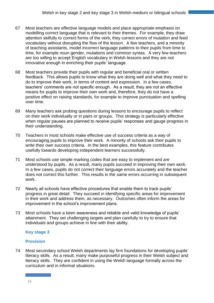- 67 Most teachers are effective language models and place appropriate emphasis on modelling correct language that is relevant to their themes. For example, they draw attention skilfully to correct forms of the verb, they correct errors of mutation and feed vocabulary without disrupting the flow of the lesson. A few teachers, and a minority of teaching assistants, model incorrect language patterns to their pupils from time to time, for example noun gender, mutations and common syntax. A very few teachers are too willing to accept English vocabulary in Welsh lessons and they are not innovative enough in enriching their pupils' language.
- 68 Most teachers provide their pupils with regular and beneficial oral or written feedback. This allows pupils to know what they are doing well and what they need to do to improve their work, in terms of content and expression. In a few cases, teachers' comments are not specific enough. As a result, they are not an effective means for pupils to improve their own work and, therefore, they do not have a positive effect on raising standards, for example to improve punctuation and spelling over time.
- 69 Many teachers ask probing questions during lessons to encourage pupils to reflect on their work individually or in pairs or groups. This strategy is particularly effective when regular pauses are planned to receive pupils' responses and gauge progress in their understanding.
- 70 Teachers in most schools make effective use of success criteria as a way of encouraging pupils to improve their work. A minority of schools ask their pupils to write their own success criteria. In the best examples, this feature contributes usefully towards developing independent learners successfully.
- 71 Most schools use simple marking codes that are easy to implement and are understood by pupils. As a result, many pupils succeed in improving their own work. In a few cases, pupils do not correct their language errors accurately and the teacher does not correct this further. This results in the same errors occurring in subsequent work.
- 72 Nearly all schools have effective procedures that enable them to track pupils' progress in great detail. They succeed in identifying specific areas for improvement in their work and address them, as necessary. Outcomes often inform the areas for improvement in the school's improvement plans.
- 73 Most schools have a keen awareness and reliable and valid knowledge of pupils' attainment. They set challenging targets and plan carefully to try to ensure that individuals and groups achieve in line with their ability.

## **Key stage 3**

## **Provision**

74 Most secondary school Welsh departments lay firm foundations for developing pupils' literacy skills. As a result, many make purposeful progress in their Welsh subject and literacy skills. They are confident in using the Welsh language formally across the curriculum and in informal situations.

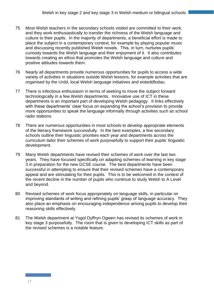- 75 Most Welsh teachers in the secondary schools visited are committed to their work, and they work enthusiastically to transfer the richness of the Welsh language and culture to their pupils. In the majority of departments, a beneficial effort is made to place the subject in a contemporary context, for example by playing popular music and discussing recently published Welsh novels. This, in turn, nurtures pupils' curiosity towards the Welsh language and their enjoyment of it. It also contributes towards creating an ethos that promotes the Welsh language and culture and positive attitudes towards them.
- 76 Nearly all departments provide numerous opportunities for pupils to access a wide variety of activities in situations outside Welsh lessons, for example activities that are organised by the Urdd, local Welsh language initiatives and eisteddfodau.
- 77 There is infectious enthusiasm in terms of seeking to move the subject forward technologically in a few Welsh departments. Innovative use of ICT in these departments is an important part of developing Welsh pedagogy. It links effectively with these departments' clear focus on expanding the school's provision to provide more opportunities to speak the language informally through activities such as school radio stations.
- 78 There are numerous opportunities in most schools to develop appropriate elements of the literacy framework successfully. In the best examples, a few secondary schools outline their linguistic priorities each year and departments across the curriculum tailor their schemes of work purposefully to support their pupils' linguistic development.
- 79 Many Welsh departments have revised their schemes of work over the last two years. They have focused specifically on adapting schemes of learning in key stage 3 in preparation for the new GCSE course. The best departments have been successful in attempting to ensure that their revised schemes have a contemporary appeal and are stimulating for their pupils. This is to be welcomed in the context of the recent decline in the number of pupils who continue to study Welsh to A Level and beyond.
- 80 Revised schemes of work focus appropriately on language skills, in particular on improving standards of writing and refining pupils' grasp of language accuracy. They also place an emphasis on encouraging independence among pupils to develop their reasoning skills effectively.
- 81 The Welsh department at Ysgol Dyffryn Ogwen has revised its schemes of work in key stage 3 purposefully. The room that is given to developing ICT skills as part of the revised schemes is a notable feature.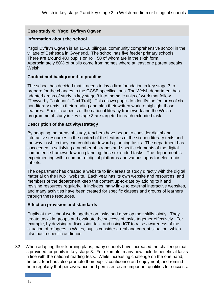## **Case study 4: Ysgol Dyffryn Ogwen**

### **Information about the school**

Ysgol Dyffryn Ogwen is an 11-18 bilingual community comprehensive school in the village of Bethesda in Gwynedd. The school has five feeder primary schools. There are around 400 pupils on roll, 50 of whom are in the sixth form. Approximately 80% of pupils come from homes where at least one parent speaks Welsh.

#### **Context and background to practice**

The school has decided that it needs to lay a firm foundation in key stage 3 to prepare for the changes to the GCSE specifications The Welsh department has adapted areas of study in key stage 3 into thematic units of work that follow "Trywydd y Testunau" (Text Trail). This allows pupils to identify the features of six non-literary texts in their reading and plan their written work to highlight those features. Specific aspects of the national literacy framework and the Welsh programme of study in key stage 3 are targeted in each extended task.

#### **Description of the activity/strategy**

By adapting the areas of study, teachers have begun to consider digital and interactive resources in the context of the features of the six non-literary texts and the way in which they can contribute towards planning tasks. The department has succeeded in satisfying a number of strands and specific elements of the digital competence framework when planning these extended tasks. The department is experimenting with a number of digital platforms and various apps for electronic tablets.

The department has created a website to link areas of study directly with the digital material on the Hwb+ website. Each year has its own website and resources, and members of the department keep the content up-to-date by adding to it and revising resources regularly. It includes many links to external interactive websites, and many activities have been created for specific classes and groups of learners through these resources.

#### **Effect on provision and standards**

Pupils at the school work together on tasks and develop their skills jointly. They create tasks in groups and evaluate the success of tasks together effectively. For example, by devising a discussion task and using ICT to raise awareness of the situation of refugees in Wales, pupils consider a real and current situation, which also has a specific audience.

82 When adapting their learning plans, many schools have increased the challenge that is provided for pupils in key stage 3. For example, many now include beneficial tasks in line with the national reading tests. While increasing challenge on the one hand, the best teachers also promote their pupils' confidence and enjoyment, and remind them regularly that perseverance and persistence are important qualities for success.

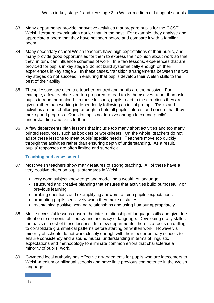- 83 Many departments provide innovative activities that prepare pupils for the GCSE Welsh literature examination earlier than in the past. For example, they analyse and appreciate a poem that they have not seen before and compare it with a familiar poem.
- 84 Many secondary school Welsh teachers have high expectations of their pupils, and many provide good opportunities for them to express their opinion about work so that they, in turn, can influence schemes of work. In a few lessons, experiences that are provided for pupils in key stage 3 do not build systematically enough on their experiences in key stage 2. In these cases, transition arrangements between the two key stages do not succeed in ensuring that pupils develop their Welsh skills to the best of their ability.
- 85 These lessons are often too teacher-centred and pupils are too passive. For example, a few teachers are too prepared to read texts themselves rather than ask pupils to read them aloud. In these lessons, pupils react to the directions they are given rather than working independently following an initial prompt. Tasks and activities are not challenging enough to hold all pupils' interest and ensure that they make good progress. Questioning is not incisive enough to extend pupils' understanding and skills further.
- 86 A few departments plan lessons that include too many short activities and too many printed resources, such as booklets or worksheets. On the whole, teachers do not adapt these lessons to meet pupils' specific needs. Teachers move too quickly through the activities rather than ensuring depth of understanding. As a result, pupils' responses are often limited and superficial.

#### **Teaching and assessment**

- 87 Most Welsh teachers show many features of strong teaching. All of these have a very positive effect on pupils' standards in Welsh:
	- very good subject knowledge and modelling a wealth of language
	- structured and creative planning that ensures that activities build purposefully on previous learning
	- probing questions and exemplifying answers to raise pupils' expectations
	- prompting pupils sensitively when they make mistakes
	- maintaining positive working relationships and using humour appropriately
- 88 Most successful lessons ensure the inter-relationship of language skills and give due attention to elements of literacy and accuracy of language. Developing oracy skills is the basis of most of these lessons. In a few departments, there is a focus on drilling to consolidate grammatical patterns before starting on written work. However, a minority of schools do not work closely enough with their feeder primary schools to ensure consistency and a sound mutual understanding in terms of linguistic expectations and methodology to eliminate common errors that characterise a minority of pupils' work.
- 89 Gwynedd local authority has effective arrangements for pupils who are latecomers to Welsh-medium or bilingual schools and have little previous competence in the Welsh language.

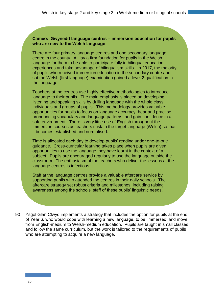#### **Cameo: Gwynedd language centres – immersion education for pupils who are new to the Welsh language**

There are four primary language centres and one secondary language centre in the county. All lay a firm foundation for pupils in the Welsh language for them to be able to participate fully in bilingual education experiences and take advantage of bilingualism skills. In 2017, the majority of pupils who received immersion education in the secondary centre and sat the Welsh (first language) examination gained a level 2 qualification in the language.

Teachers at the centres use highly effective methodologies to introduce language to their pupils. The main emphasis is placed on developing listening and speaking skills by drilling language with the whole class, individuals and groups of pupils. This methodology provides valuable opportunities for pupils to focus on language accuracy, hear and practise pronouncing vocabulary and language patterns, and gain confidence in a safe environment. There is very little use of English throughout the immersion courses as teachers sustain the target language (Welsh) so that it becomes established and normalised.

Time is allocated each day to develop pupils' reading under one-to-one guidance. Cross-curricular learning takes place when pupils are given opportunities to use the language they have learnt in the context of a subject. Pupils are encouraged regularly to use the language outside the classroom. The enthusiasm of the teachers who deliver the lessons at the language centres is infectious.

Staff at the language centres provide a valuable aftercare service by supporting pupils who attended the centres in their daily schools. The aftercare strategy set robust criteria and milestones, including raising awareness among the schools' staff of these pupils' linguistic needs.

90 Ysgol Glan Clwyd implements a strategy that includes the option for pupils at the end of Year 6, who would cope with learning a new language, to be 'immersed' and move from English-medium to Welsh-medium education. Pupils are taught in small classes and follow the same curriculum, but the work is tailored to the requirements of pupils who are attempting to acquire a new language.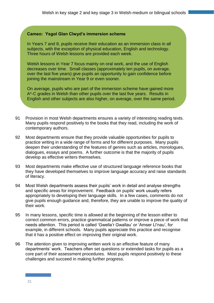### **Cameo: Ysgol Glan Clwyd's immersion scheme**

In Years 7 and 8, pupils receive their education as an immersion class in all subjects, with the exception of physical education, English and technology. Three hours of Welsh lessons are provided each week.

Welsh lessons in Year 7 focus mainly on oral work, and the use of English decreases over time. Small classes (approximately ten pupils, on average, over the last five years) give pupils an opportunity to gain confidence before joining the mainstream in Year 9 or even sooner.

On average, pupils who are part of the immersion scheme have gained more A\*-C grades in Welsh than other pupils over the last five years. Results in English and other subjects are also higher, on average, over the same period.

- 91 Provision in most Welsh departments ensures a variety of interesting reading texts. Many pupils respond positively to the books that they read, including the work of contemporary authors.
- 92 Most departments ensure that they provide valuable opportunities for pupils to practice writing in a wide range of forms and for different purposes. Many pupils deepen their understanding of the features of genres such as articles, monologues, dialogues, essays and poems. A further outcome is that the majority of pupils develop as effective writers themselves.
- 93 Most departments make effective use of structured language reference books that they have developed themselves to improve language accuracy and raise standards of literacy.
- 94 Most Welsh departments assess their pupils' work in detail and analyse strengths and specific areas for improvement. Feedback on pupils' work usually refers appropriately to developing their language skills. In a few cases, comments do not give pupils enough guidance and, therefore, they are unable to improve the quality of their work.
- 95 In many lessons, specific time is allowed at the beginning of the lesson either to correct common errors, practice grammatical patterns or improve a piece of work that needs attention. This period is called 'Gwella'r Gwallau' or 'Amser Ll'nau', for example, in different schools. Many pupils appreciate this practice and recognise that it has a positive effect on improving their original work.
- 96 The attention given to improving written work is an effective feature of many departments' work. Teachers often set questions or extended tasks for pupils as a core part of their assessment procedures. Most pupils respond positively to these challenges and succeed in making further progress.

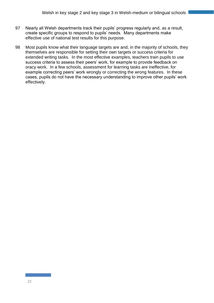- 97 Nearly all Welsh departments track their pupils' progress regularly and, as a result, create specific groups to respond to pupils' needs. Many departments make effective use of national test results for this purpose.
- 98 Most pupils know what their language targets are and, in the majority of schools, they themselves are responsible for setting their own targets or success criteria for extended writing tasks. In the most effective examples, teachers train pupils to use success criteria to assess their peers' work, for example to provide feedback on oracy work. In a few schools, assessment for learning tasks are ineffective, for example correcting peers' work wrongly or correcting the wrong features. In these cases, pupils do not have the necessary understanding to improve other pupils' work effectively.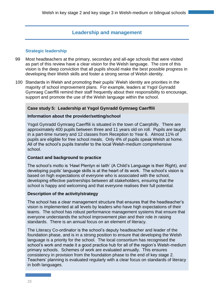## **Leadership and management**

#### **Strategic leadership**

- 99 Most headteachers at the primary, secondary and all-age schools that were visited as part of this review have a clear vision for the Welsh language. The core of this vision is the deep conviction that all pupils should make the best possible progress in developing their Welsh skills and foster a strong sense of Welsh identity.
- 100 Standards in Welsh and promoting their pupils' Welsh identity are priorities in the majority of school improvement plans. For example, leaders at Ysgol Gynradd Gymraeg Caerffili remind their staff frequently about their responsibility to encourage, support and promote the use of the Welsh language within the school.

#### **Case study 5: Leadership at Ysgol Gynradd Gymraeg Caerffili**

#### **Information about the provider/setting/school**

Ysgol Gynradd Gymraeg Caerffili is situated in the town of Caerphilly. There are approximately 400 pupils between three and 11 years old on roll. Pupils are taught in a part-time nursery and 12 classes from Reception to Year 6. Almost 11% of pupils are eligible for free school meals. Only 4% of pupils speak Welsh at home. All of the school's pupils transfer to the local Welsh-medium comprehensive school.

#### **Contact and background to practice**

The school's motto is 'Hawl Plentyn ei Iaith' (A Child's Language is their Right), and developing pupils' language skills is at the heart of its work. The school's vision is based on high expectations of everyone who is associated with the school, developing effective partnerships between all stakeholders, ensuring that the school is happy and welcoming and that everyone realises their full potential.

#### **Description of the activity/strategy**

The school has a clear management structure that ensures that the headteacher's vision is implemented at all levels by leaders who have high expectations of their teams. The school has robust performance management systems that ensure that everyone understands the school improvement plan and their role in raising standards. There is an annual focus on an element of literacy.

The Literacy Co-ordinator is the school's deputy headteacher and leader of the foundation phase, and is in a strong position to ensure that developing the Welsh language is a priority for the school. The local consortium has recognised the school's work and made it a good practice hub for all of the region's Welsh-medium primary schools. Schemes of work are evaluated annually. This ensures consistency in provision from the foundation phase to the end of key stage 2. Teachers' planning is evaluated regularly with a clear focus on standards of literacy in both languages.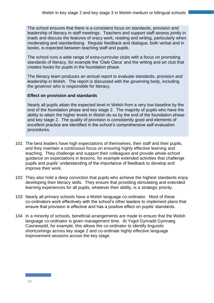The school ensures that there is a consistent focus on standards, provision and leadership of literacy in staff meetings. Teachers and support staff assess jointly in triads and discuss the features of oracy work, reading and writing, particularly when moderating and standardising. Regular feedback and dialogue, both verbal and in books, is expected between teaching staff and pupils.

The school runs a wide range of extra-curricular clubs with a focus on promoting standards of literacy, for example the 'Clwb Clecs' and the writing and art club that creates books for pupils in the foundation phase.

The literacy team produces an annual report to evaluate standards, provision and leadership in Welsh. The report is discussed with the governing body, including the governor who is responsible for literacy.

#### **Effect on provision and standards**

Nearly all pupils attain the expected level in Welsh from a very low baseline by the end of the foundation phase and key stage 2. The majority of pupils who have the ability to attain the higher levels in Welsh do so by the end of the foundation phase and key stage 2. The quality of provision is consistently good and elements of excellent practice are identified in the school's comprehensive self-evaluation procedures.

- 101 The best leaders have high expectations of themselves, their staff and their pupils, and they maintain a continuous focus on ensuring highly effective learning and teaching. They challenge and support their colleagues and provide whole-school guidance on expectations in lessons, for example extended activities that challenge pupils and pupils' understanding of the importance of feedback to develop and improve their work.
- 102 They also hold a deep conviction that pupils who achieve the highest standards enjoy developing their literacy skills. They ensure that providing stimulating and extended learning experiences for all pupils, whatever their ability, is a strategic priority.
- 103 Nearly all primary schools have a Welsh language co-ordinator. Most of these co-ordinators work effectively with the school's other leaders to implement plans that ensure that provision is effective and has a positive effect on pupils' standards.
- 104 In a minority of schools, beneficial arrangements are made to ensure that the Welsh language co-ordinator is given management time. At Ysgol Gynradd Gymraeg Casnewydd, for example, this allows the co-ordinator to identify linguistic shortcomings across key stage 2 and co-ordinate highly effective language improvement sessions across the key stage.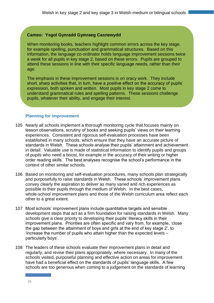### **Cameo: Ysgol Gynradd Gymraeg Casnewydd**

When monitoring books, teachers highlight common errors across the key stage, for example spelling, punctuation and grammatical structures. Based on this information, the language co-ordinator holds language improvement sessions twice a week for all pupils in key stage 2, based on these errors. Pupils are grouped to attend these sessions in line with their specific language needs, rather than their age.

The emphasis in these improvement sessions is on oracy work. They include short, sharp activities that, in turn, have a positive effect on the accuracy of pupils' expression, both spoken and written. Most pupils in key stage 2 come to understand grammatical rules and spelling patterns. These sessions challenge pupils, whatever their ability, and engage their interest.

#### **Planning for improvement**

- 105 Nearly all schools implement a thorough monitoring cycle that focuses mainly on lesson observations, scrutiny of books and seeking pupils' views on their learning experiences. Consistent and rigorous self-evaluation processes have been established in many schools, which ensure that they have an accurate picture of standards in Welsh. These schools analyse their pupils' attainment and achievement in detail. Valuable use is made of statistical information to identify pupils and groups of pupils who need a boost, for example in the accuracy of their writing or higher order reading skills. The best analyses recognise the school's performance in the context of other similar schools.
- 106 Based on monitoring and self-evaluation procedures, many schools plan strategically and purposefully to raise standards in Welsh. These schools' improvement plans convey clearly the aspiration to deliver as many varied and rich experiences as possible to their pupils through the medium of Welsh. In the best cases, whole-school improvement plans and those of the Welsh curriculum area reflect each other to a great extent.
- 107 Most schools' improvement plans include quantitative targets and sensible development steps that act as a firm foundation for raising standards in Welsh. Many schools give a clear priority to developing their pupils' literacy skills in their improvement plans. Priorities are often specific and vary from, for example, 'close the gap between the attainment of boys and girls at the end of key stage 2', to 'increase the number of pupils who attain higher than the expected levels – particularly boys'.
- 108 The leaders of these schools evaluate their improvement plans in detail and regularly, and revise their plans appropriately, where necessary. In many of the schools visited, purposeful planning and effective action on areas for improvement have had a beneficial effect on the standards of pupils' language skills. A few schools are too generous when coming to a judgement on the standards of learning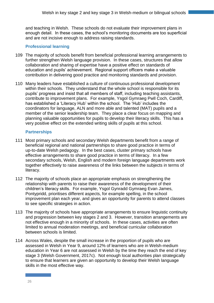and teaching in Welsh. These schools do not evaluate their improvement plans in enough detail. In these cases, the school's monitoring documents are too superficial and are not incisive enough to address raising standards.

### **Professional learning**

- 109 The majority of schools benefit from beneficial professional learning arrangements to further strengthen Welsh language provision. In these cases, structures that allow collaboration and sharing of expertise have a positive effect on standards of education and pupils' achievement. Regional support officers make a valuable contribution in delivering good practice and monitoring standards and provision.
- 110 Many leaders have established a culture of continuous professional development within their schools. They understand that the whole school is responsible for its pupils' progress and insist that all members of staff, including teaching assistants, contribute to improvement plans. For example, Ysgol Gymraeg Pwll Coch, Cardiff, has established a 'Literacy Hub' within the school. The 'Hub' includes the coordinators for language, ALN and more able and talented (MAT) pupils and a member of the senior leadership team. They place a clear focus on mapping and planning valuable opportunities for pupils to develop their literacy skills. This has a very positive effect on the extended writing skills of pupils at this school.

#### **Partnerships**

- 111 Most primary schools and secondary Welsh departments benefit from a range of beneficial regional and national partnerships to share good practice in terms of up-to-date Welsh pedagogy. In the best cases, cluster primary schools have effective arrangements to share good practice in terms of literacy. In a few secondary schools, Welsh, English and modern foreign language departments work together effectively to raise awareness of the links between the subjects in terms of literacy.
- 112 The majority of schools place an appropriate emphasis on strengthening the relationship with parents to raise their awareness of the development of their children's literacy skills. For example, Ysgol Gynradd Gymraeg Evan James, Pontypridd, prioritises different aspects, for example spelling, in the school improvement plan each year, and gives an opportunity for parents to attend classes to see specific strategies in action.
- 113 The majority of schools have appropriate arrangements to ensure linguistic continuity and progression between key stages 2 and 3. However, transition arrangements are not effective enough in a minority of schools. In these cases, activities are often limited to annual moderation meetings, and beneficial curricular collaboration between schools is limited.
- 114 Across Wales, despite the small increase in the proportion of pupils who are assessed in Welsh in Year 9, around 12% of learners who are in Welsh-medium education in Year 6 are not assessed in Welsh by the time they reach the end of key stage 3 (Welsh Government, 2017c). Not enough local authorities plan strategically to ensure that learners are given an opportunity to develop their Welsh language skills in the most effective way.

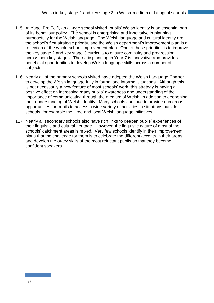- 115 At Ysgol Bro Teifi, an all-age school visited, pupils' Welsh identity is an essential part of its behaviour policy. The school is enterprising and innovative in planning purposefully for the Welsh language. The Welsh language and cultural identity are the school's first strategic priority, and the Welsh department's improvement plan is a reflection of the whole-school improvement plan. One of those priorities is to improve the key stage 2 and key stage 3 curricula to ensure continuity and progression across both key stages. Thematic planning in Year 7 is innovative and provides beneficial opportunities to develop Welsh language skills across a number of subjects.
- 116 Nearly all of the primary schools visited have adopted the Welsh Language Charter to develop the Welsh language fully in formal and informal situations. Although this is not necessarily a new feature of most schools' work, this strategy is having a positive effect on increasing many pupils' awareness and understanding of the importance of communicating through the medium of Welsh, in addition to deepening their understanding of Welsh identity. Many schools continue to provide numerous opportunities for pupils to access a wide variety of activities in situations outside schools, for example the Urdd and local Welsh language initiatives.
- 117 Nearly all secondary schools also have rich links to deepen pupils' experiences of their linguistic and cultural heritage. However, the linguistic nature of most of the schools' catchment areas is mixed. Very few schools identify in their improvement plans that the challenge for them is to celebrate the different accents in their areas and develop the oracy skills of the most reluctant pupils so that they become confident speakers.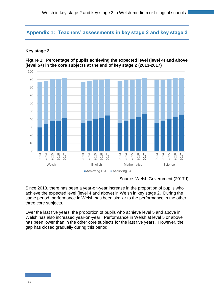## **Appendix 1: Teachers' assessments in key stage 2 and key stage 3**

#### **Key stage 2**

#### **Figure 1: Percentage of pupils achieving the expected level (level 4) and above (level 5+) in the core subjects at the end of key stage 2 (2013-2017)**



Source: Welsh Government (2017d)

Since 2013, there has been a year-on-year increase in the proportion of pupils who achieve the expected level (level 4 and above) in Welsh in key stage 2. During the same period, performance in Welsh has been similar to the performance in the other three core subjects.

Over the last five years, the proportion of pupils who achieve level 5 and above in Welsh has also increased year-on-year. Performance in Welsh at level 5 or above has been lower than in the other core subjects for the last five years. However, the gap has closed gradually during this period.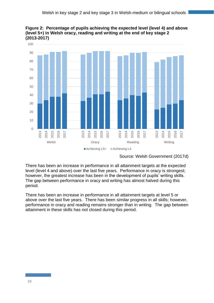



Source: Welsh Government (2017d)

There has been an increase in performance in all attainment targets at the expected level (level 4 and above) over the last five years. Performance in oracy is strongest; however, the greatest increase has been in the development of pupils' writing skills. The gap between performance in oracy and writing has almost halved during this period.

There has been an increase in performance in all attainment targets at level 5 or above over the last five years. There has been similar progress in all skills; however, performance in oracy and reading remains stronger than in writing. The gap between attainment in these skills has not closed during this period.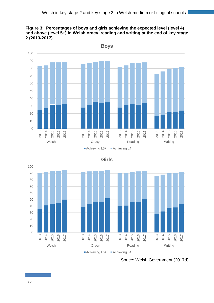





**Girls**

## Souce: Welsh Government (2017d)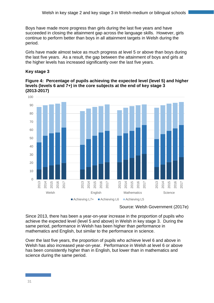Boys have made more progress than girls during the last five years and have succeeded in closing the attainment gap across the language skills. However, girls continue to perform better than boys in all attainment targets in Welsh during the period.

Girls have made almost twice as much progress at level 5 or above than boys during the last five years. As a result, the gap between the attainment of boys and girls at the higher levels has increased significantly over the last five years.

## **Key stage 3**

**Figure 4: Percentage of pupils achieving the expected level (level 5) and higher levels (levels 6 and 7+) in the core subjects at the end of key stage 3 (2013-2017)**



Source: Welsh Government (2017e)

Since 2013, there has been a year-on-year increase in the proportion of pupils who achieve the expected level (level 5 and above) in Welsh in key stage 3. During the same period, performance in Welsh has been higher than performance in mathematics and English, but similar to the performance in science.

Over the last five years, the proportion of pupils who achieve level 6 and above in Welsh has also increased year-on-year. Performance in Welsh at level 6 or above has been consistently higher than in English, but lower than in mathematics and science during the same period.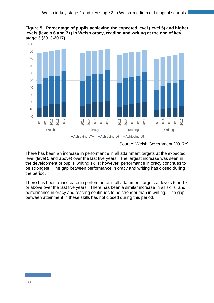



#### Source: Welsh Government (2017e)

There has been an increase in performance in all attainment targets at the expected level (level 5 and above) over the last five years. The largest increase was seen in the development of pupils' writing skills; however, performance in oracy continues to be strongest. The gap between performance in oracy and writing has closed during the period.

There has been an increase in performance in all attainment targets at levels 6 and 7 or above over the last five years. There has been a similar increase in all skills, and performance in oracy and reading continues to be stronger than in writing. The gap between attainment in these skills has not closed during this period.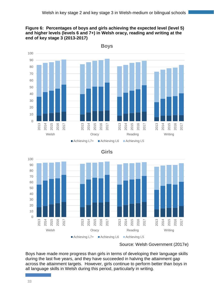#### **Figure 6: Percentages of boys and girls achieving the expected level (level 5) and higher levels (levels 6 and 7+) in Welsh oracy, reading and writing at the end of key stage 3 (2013-2017)**





**Girls**

## Source: Welsh Government (2017e)

Boys have made more progress than girls in terms of developing their language skills during the last five years, and they have succeeded in halving the attainment gap across the attainment targets. However, girls continue to perform better than boys in all language skills in Welsh during this period, particularly in writing.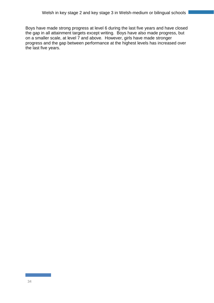Boys have made strong progress at level 6 during the last five years and have closed the gap in all attainment targets except writing. Boys have also made progress, but on a smaller scale, at level 7 and above. However, girls have made stronger progress and the gap between performance at the highest levels has increased over the last five years.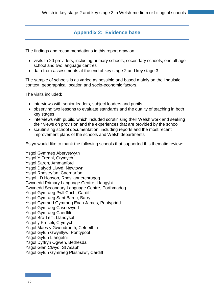# **Appendix 2: Evidence base**

The findings and recommendations in this report draw on:

- visits to 20 providers, including primary schools, secondary schools, one all-age school and two language centres
- data from assessments at the end of key stage 2 and key stage 3

The sample of schools is as varied as possible and based mainly on the linguistic context, geographical location and socio-economic factors.

The visits included:

- interviews with senior leaders, subject leaders and pupils
- observing two lessons to evaluate standards and the quality of teaching in both key stages
- interviews with pupils, which included scrutinising their Welsh work and seeking their views on provision and the experiences that are provided by the school
- scrutinising school documentation, including reports and the most recent improvement plans of the schools and Welsh departments

Estyn would like to thank the following schools that supported this thematic review:

Ysgol Gymraeg Aberystwyth Ysgol Y Frenni, Crymych Ysgol Saron, Ammanford Ysgol Dafydd Llwyd, Newtown Ysgol Rhostryfan, Caernarfon Ysgol I D Hooson, Rhosllannerchrugog Gwynedd Primary Language Centre, Llangybi Gwynedd Secondary Language Centre, Porthmadog Ysgol Gymraeg Pwll Coch, Cardiff Ysgol Gymraeg Sant Baruc, Barry Ysgol Gynradd Gymraeg Evan James, Pontypridd Ysgol Gymraeg Casnewydd Ysgol Gymraeg Caerffili Ysgol Bro Teifi, Llandysul Ysgol y Preseli, Crymych Ysgol Maes y Gwendraeth, Cefneithin Ysgol Gyfun Gwynllyw, Pontypool Ysgol Gyfun Llangefni Ysgol Dyffryn Ogwen, Bethesda Ysgol Glan Clwyd, St Asaph Ysgol Gyfun Gymraeg Plasmawr, Cardiff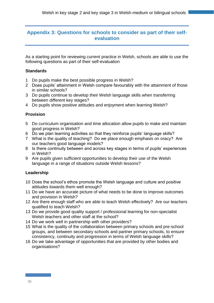## **Appendix 3: Questions for schools to consider as part of their selfevaluation**

As a starting point for reviewing current practice in Welsh, schools are able to use the following questions as part of their self-evaluation

## **Standards**

- 1 Do pupils make the best possible progress in Welsh?
- 2 Does pupils' attainment in Welsh compare favourably with the attainment of those in similar schools?
- 3 Do pupils continue to develop their Welsh language skills when transferring between different key stages?
- 4 Do pupils show positive attitudes and enjoyment when learning Welsh?

## **Provision**

- 5 Do curriculum organisation and time allocation allow pupils to make and maintain good progress in Welsh?
- 6 Do we plan learning activities so that they reinforce pupils' language skills?
- 7 What is the quality of teaching? Do we place enough emphasis on oracy? Are our teachers good language models?
- 8 Is there continuity between and across key stages in terms of pupils' experiences in Welsh?
- 9 Are pupils given sufficient opportunities to develop their use of the Welsh language in a range of situations outside Welsh lessons?

## **Leadership**

- 10 Does the school's ethos promote the Welsh language and culture and positive attitudes towards them well enough?
- 11 Do we have an accurate picture of what needs to be done to improve outcomes and provision in Welsh?
- 12 Are there enough staff who are able to teach Welsh effectively? Are our teachers qualified to teach Welsh?
- 13 Do we provide good quality support / professional learning for non-specialist Welsh teachers and other staff at the school?
- 14 Do we work well in partnership with other providers?
- 15 What is the quality of the collaboration between primary schools and pre-school groups, and between secondary schools and partner primary schools, to ensure consistency, continuity and progression in terms of Welsh language skills?
- 16 Do we take advantage of opportunities that are provided by other bodies and organisations?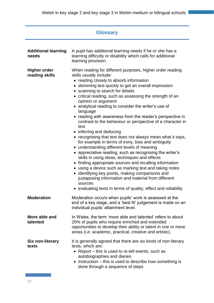| <b>Glossary</b>                       |                                                                                                                                                                                                                                                                                                                                                                                                                                                                                                                                                                                                                                                                                                                                                                                                                                                                                                                                                                                                                                                                                                                                             |  |
|---------------------------------------|---------------------------------------------------------------------------------------------------------------------------------------------------------------------------------------------------------------------------------------------------------------------------------------------------------------------------------------------------------------------------------------------------------------------------------------------------------------------------------------------------------------------------------------------------------------------------------------------------------------------------------------------------------------------------------------------------------------------------------------------------------------------------------------------------------------------------------------------------------------------------------------------------------------------------------------------------------------------------------------------------------------------------------------------------------------------------------------------------------------------------------------------|--|
| <b>Additional learning</b><br>needs   | A pupil has additional learning needs if he or she has a<br>learning difficulty or disability which calls for additional<br>learning provision.                                                                                                                                                                                                                                                                                                                                                                                                                                                                                                                                                                                                                                                                                                                                                                                                                                                                                                                                                                                             |  |
| <b>Higher order</b><br>reading skills | When reading for different purposes, higher order reading<br>skills usually include:<br>• reading closely to absorb information<br>• skimming text quickly to get an overall impression<br>• scanning to search for details<br>• critical reading, such as assessing the strength of an<br>opinion or argument<br>• analytical reading to consider the writer's use of<br>language<br>reading with awareness from the reader's perspective in<br>contrast to the behaviour or perspective of a character in<br>text<br>• inferring and deducing<br>• recognising that text does not always mean what it says,<br>for example in terms of irony, bias and ambiguity<br>• understanding different levels of meaning<br>• appreciative reading, such as recognising the writer's<br>skills in using ideas, techniques and effects<br>• finding appropriate sources and recalling information<br>• using a device such as marking text and taking notes<br>• identifying key points, making comparisons and<br>juxtaposing information and material from different<br>sources<br>• evaluating texts in terms of quality, effect and reliability |  |
| <b>Moderation</b>                     | Moderation occurs when pupils' work is assessed at the<br>end of a key stage, and a 'best fit' judgement is made on an<br>individual pupils' attainment level.                                                                                                                                                                                                                                                                                                                                                                                                                                                                                                                                                                                                                                                                                                                                                                                                                                                                                                                                                                              |  |
| More able and<br>talented             | In Wales, the term 'more able and talented' refers to about<br>20% of pupils who require enriched and extended<br>opportunities to develop their ability or talent in one or more<br>areas (i.e. academic, practical, creative and artistic).                                                                                                                                                                                                                                                                                                                                                                                                                                                                                                                                                                                                                                                                                                                                                                                                                                                                                               |  |
| Six non-literary<br>texts             | It is generally agreed that there are six kinds of non-literary<br>texts, which are:<br>• Report – this is used to re-tell events, such as<br>autobiographies and diaries<br>Instruction – this is used to describe how something is<br>$\bullet$<br>done through a sequence of steps                                                                                                                                                                                                                                                                                                                                                                                                                                                                                                                                                                                                                                                                                                                                                                                                                                                       |  |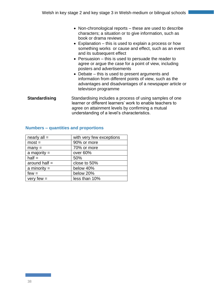- Non-chronological reports these are used to describe characters; a situation or to give information, such as book or drama reviews
- Explanation this is used to explain a process or how something works or cause and effect, such as an event and its subsequent effect
- Persuasion this is used to persuade the reader to agree or argue the case for a point of view, including posters and advertisements
- Debate this is used to present arguments and information from different points of view, such as the advantages and disadvantages of a newspaper article or television programme
- **Standardising Standardising includes a process of using samples of one** learner or different learners' work to enable teachers to agree on attainment levels by confirming a mutual understanding of a level's characteristics.

| nearly $all =$  | with very few exceptions |
|-----------------|--------------------------|
| $most =$        | 90% or more              |
| $many =$        | 70% or more              |
| a majority $=$  | over 60%                 |
| $half =$        | 50%                      |
| around half $=$ | close to 50%             |
| a minority $=$  | below 40%                |
| $few =$         | below 20%                |
| very few $=$    | less than 10%            |

#### **Numbers – quantities and proportions**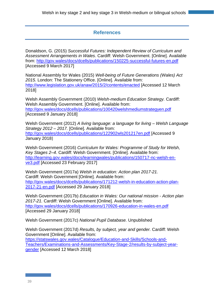# **References**

Donaldson, G. (2015) *Successful Futures: Independent Review of Curriculum and Assessment Arrangements in Wales*. Cardiff: Welsh Government. [Online]. Available from:<http://gov.wales/docs/dcells/publications/150225-successful-futures-en.pdf> [Accessed 9 March 2017]

National Assembly for Wales (2015) *Well-being of Future Generations (Wales) Act 2015.* London: The Stationery Office. [Online]. Available from: <http://www.legislation.gov.uk/anaw/2015/2/contents/enacted> [Accessed 12 March 2018]

Welsh Assembly Government (2010) *Welsh-medium Education Strategy.* Cardiff: Welsh Assembly Government. [Online]. Available from: <http://gov.wales/docs/dcells/publications/100420welshmediumstrategyen.pdf> [Accessed 9 January 2018]

Welsh Government (2012) *A living language: a language for living – Welsh Language Strategy 2012 – 2017.* [Online]. Available from: <http://gov.wales/docs/dcells/publications/122902wls201217en.pdf> [Accessed 9 January 2018]

Welsh Government (2016) *Curriculum for Wales: Programme of Study for Welsh, Key Stages 2–4*. Cardiff: Welsh Government. [Online]. Available from: [http://learning.gov.wales/docs/learningwales/publications/150717-nc-welsh-en](http://learning.gov.wales/docs/learningwales/publications/150717-nc-welsh-en-ve3.pdf)[ve3.pdf](http://learning.gov.wales/docs/learningwales/publications/150717-nc-welsh-en-ve3.pdf) [Accessed 23 February 2017]

Welsh Government (2017a) *Welsh in education: Action plan 2017-21.*  Cardiff: Welsh Government [Online]. Available from: [http://gov.wales/docs/dcells/publications/171212-welsh-in-education-action-plan-](http://gov.wales/docs/dcells/publications/171212-welsh-in-education-action-plan-2017-21-en.pdf)[2017-21-en.pdf](http://gov.wales/docs/dcells/publications/171212-welsh-in-education-action-plan-2017-21-en.pdf) [Accessed 29 January 2018]

Welsh Government (2017b) *Education in Wales: Our national mission - Action plan 2017-21.* Cardiff: Welsh Government [Online]. Available from: <http://gov.wales/docs/dcells/publications/170926-education-in-wales-en.pdf> [Accessed 29 January 2018]

Welsh Government (2017c) *National Pupil Database.* Unpublished

Welsh Government (2017d) *Results, by subject, year and gender.* Cardiff: Welsh Government [Online]. Available from: [https://statswales.gov.wales/Catalogue/Education-and-Skills/Schools-and-](https://statswales.gov.wales/Catalogue/Education-and-Skills/Schools-and-Teachers/Examinations-and-Assessments/Key-Stage-2/results-by-subject-year-gender)[Teachers/Examinations-and-Assessments/Key-Stage-2/results-by-subject-year](https://statswales.gov.wales/Catalogue/Education-and-Skills/Schools-and-Teachers/Examinations-and-Assessments/Key-Stage-2/results-by-subject-year-gender)[gender](https://statswales.gov.wales/Catalogue/Education-and-Skills/Schools-and-Teachers/Examinations-and-Assessments/Key-Stage-2/results-by-subject-year-gender) [Accessed 12 March 2018]